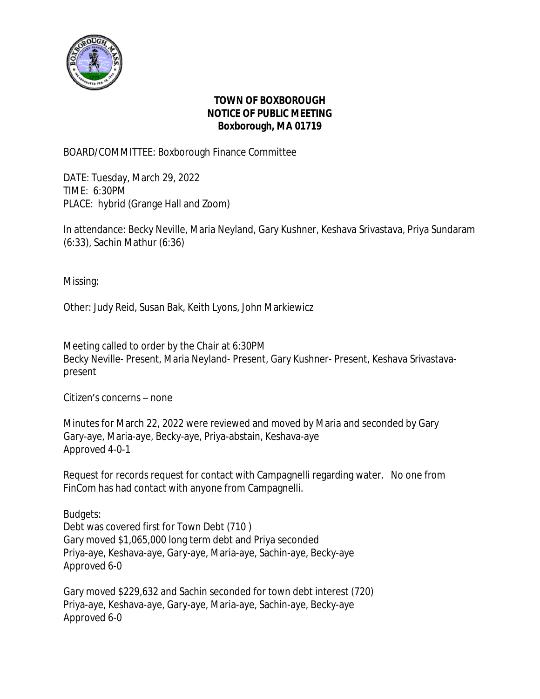

## **TOWN OF BOXBOROUGH NOTICE OF PUBLIC MEETING Boxborough, MA 01719**

BOARD/COMMITTEE: Boxborough Finance Committee

DATE: Tuesday, March 29, 2022 TIME: 6:30PM PLACE: hybrid (Grange Hall and Zoom)

In attendance: Becky Neville, Maria Neyland, Gary Kushner, Keshava Srivastava, Priya Sundaram (6:33), Sachin Mathur (6:36)

Missing:

Other: Judy Reid, Susan Bak, Keith Lyons, John Markiewicz

Meeting called to order by the Chair at 6:30PM Becky Neville- Present, Maria Neyland- Present, Gary Kushner- Present, Keshava Srivastavapresent

Citizen's concerns – none

Minutes for March 22, 2022 were reviewed and moved by Maria and seconded by Gary Gary-aye, Maria-aye, Becky-aye, Priya-abstain, Keshava-aye Approved 4-0-1

Request for records request for contact with Campagnelli regarding water. No one from FinCom has had contact with anyone from Campagnelli.

Budgets: Debt was covered first for Town Debt (710 ) Gary moved \$1,065,000 long term debt and Priya seconded Priya-aye, Keshava-aye, Gary-aye, Maria-aye, Sachin-aye, Becky-aye Approved 6-0

Gary moved \$229,632 and Sachin seconded for town debt interest (720) Priya-aye, Keshava-aye, Gary-aye, Maria-aye, Sachin-aye, Becky-aye Approved 6-0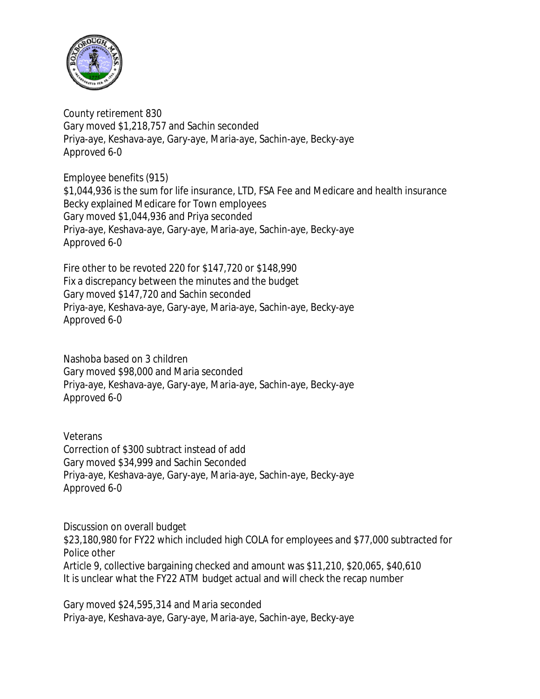

County retirement 830 Gary moved \$1,218,757 and Sachin seconded Priya-aye, Keshava-aye, Gary-aye, Maria-aye, Sachin-aye, Becky-aye Approved 6-0

Employee benefits (915) \$1,044,936 is the sum for life insurance, LTD, FSA Fee and Medicare and health insurance Becky explained Medicare for Town employees Gary moved \$1,044,936 and Priya seconded Priya-aye, Keshava-aye, Gary-aye, Maria-aye, Sachin-aye, Becky-aye Approved 6-0

Fire other to be revoted 220 for \$147,720 or \$148,990 Fix a discrepancy between the minutes and the budget Gary moved \$147,720 and Sachin seconded Priya-aye, Keshava-aye, Gary-aye, Maria-aye, Sachin-aye, Becky-aye Approved 6-0

Nashoba based on 3 children Gary moved \$98,000 and Maria seconded Priya-aye, Keshava-aye, Gary-aye, Maria-aye, Sachin-aye, Becky-aye Approved 6-0

**Veterans** Correction of \$300 subtract instead of add Gary moved \$34,999 and Sachin Seconded Priya-aye, Keshava-aye, Gary-aye, Maria-aye, Sachin-aye, Becky-aye Approved 6-0

Discussion on overall budget \$23,180,980 for FY22 which included high COLA for employees and \$77,000 subtracted for Police other Article 9, collective bargaining checked and amount was \$11,210, \$20,065, \$40,610 It is unclear what the FY22 ATM budget actual and will check the recap number

Gary moved \$24,595,314 and Maria seconded Priya-aye, Keshava-aye, Gary-aye, Maria-aye, Sachin-aye, Becky-aye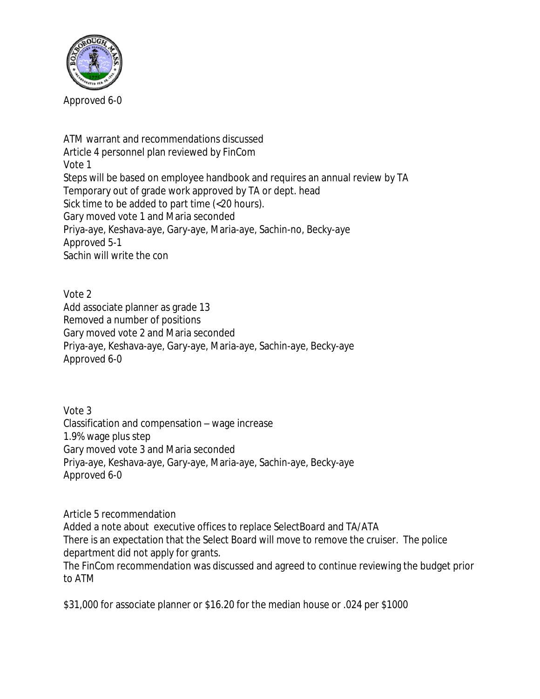

ATM warrant and recommendations discussed Article 4 personnel plan reviewed by FinCom Vote 1 Steps will be based on employee handbook and requires an annual review by TA Temporary out of grade work approved by TA or dept. head Sick time to be added to part time (<20 hours). Gary moved vote 1 and Maria seconded Priya-aye, Keshava-aye, Gary-aye, Maria-aye, Sachin-no, Becky-aye Approved 5-1 Sachin will write the con

Vote 2 Add associate planner as grade 13 Removed a number of positions Gary moved vote 2 and Maria seconded Priya-aye, Keshava-aye, Gary-aye, Maria-aye, Sachin-aye, Becky-aye Approved 6-0

Vote 3 Classification and compensation – wage increase 1.9% wage plus step Gary moved vote 3 and Maria seconded Priya-aye, Keshava-aye, Gary-aye, Maria-aye, Sachin-aye, Becky-aye Approved 6-0

Article 5 recommendation Added a note about executive offices to replace SelectBoard and TA/ATA There is an expectation that the Select Board will move to remove the cruiser. The police department did not apply for grants. The FinCom recommendation was discussed and agreed to continue reviewing the budget prior to ATM

\$31,000 for associate planner or \$16.20 for the median house or .024 per \$1000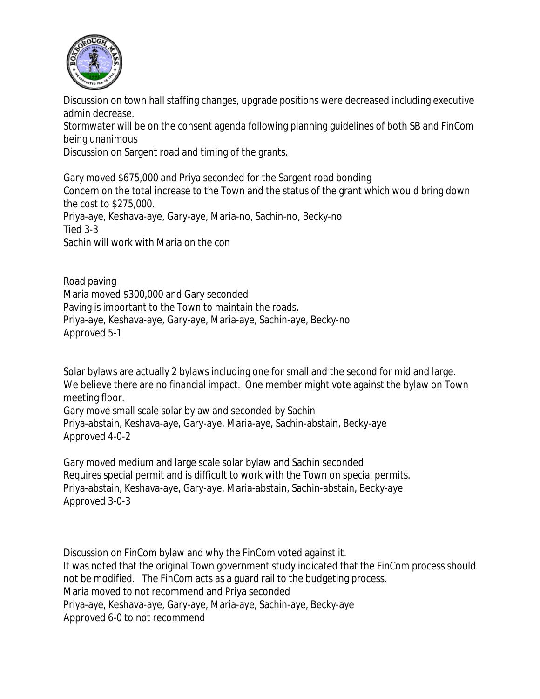

Discussion on town hall staffing changes, upgrade positions were decreased including executive admin decrease.

Stormwater will be on the consent agenda following planning guidelines of both SB and FinCom being unanimous

Discussion on Sargent road and timing of the grants.

Gary moved \$675,000 and Priya seconded for the Sargent road bonding Concern on the total increase to the Town and the status of the grant which would bring down the cost to \$275,000. Priya-aye, Keshava-aye, Gary-aye, Maria-no, Sachin-no, Becky-no Tied 3-3 Sachin will work with Maria on the con

Road paving Maria moved \$300,000 and Gary seconded Paving is important to the Town to maintain the roads. Priya-aye, Keshava-aye, Gary-aye, Maria-aye, Sachin-aye, Becky-no Approved 5-1

Solar bylaws are actually 2 bylaws including one for small and the second for mid and large. We believe there are no financial impact. One member might vote against the bylaw on Town meeting floor.

Gary move small scale solar bylaw and seconded by Sachin Priya-abstain, Keshava-aye, Gary-aye, Maria-aye, Sachin-abstain, Becky-aye Approved 4-0-2

Gary moved medium and large scale solar bylaw and Sachin seconded Requires special permit and is difficult to work with the Town on special permits. Priya-abstain, Keshava-aye, Gary-aye, Maria-abstain, Sachin-abstain, Becky-aye Approved 3-0-3

Discussion on FinCom bylaw and why the FinCom voted against it. It was noted that the original Town government study indicated that the FinCom process should not be modified. The FinCom acts as a guard rail to the budgeting process. Maria moved to not recommend and Priya seconded Priya-aye, Keshava-aye, Gary-aye, Maria-aye, Sachin-aye, Becky-aye Approved 6-0 to not recommend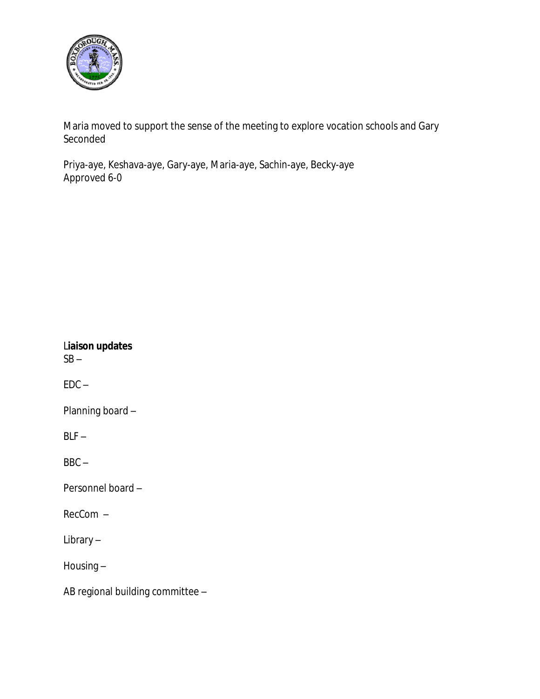

Maria moved to support the sense of the meeting to explore vocation schools and Gary Seconded

Priya-aye, Keshava-aye, Gary-aye, Maria-aye, Sachin-aye, Becky-aye Approved 6-0

| Liaison updates<br>SB – |  |  |  |  |  |  |
|-------------------------|--|--|--|--|--|--|
| EDC –                   |  |  |  |  |  |  |
| Planning board –        |  |  |  |  |  |  |
| BLF –                   |  |  |  |  |  |  |
| BBC –                   |  |  |  |  |  |  |
| Personnel board –       |  |  |  |  |  |  |
| RecCom –                |  |  |  |  |  |  |
| Library –               |  |  |  |  |  |  |

Housing –

AB regional building committee –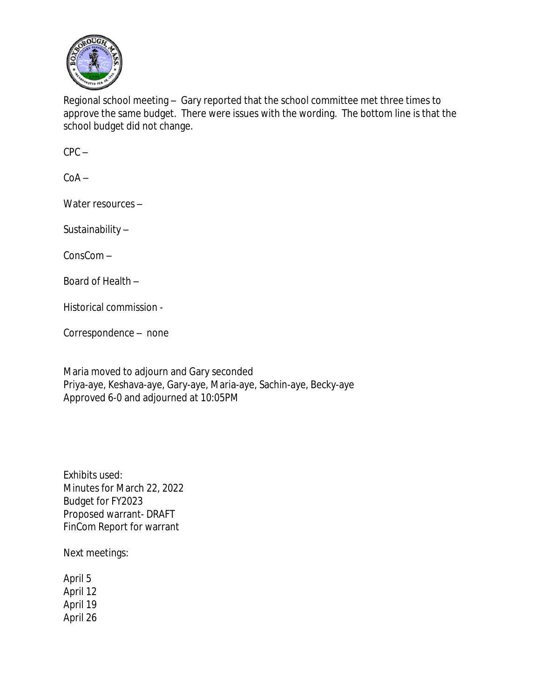

Regional school meeting – Gary reported that the school committee met three times to approve the same budget. There were issues with the wording. The bottom line is that the school budget did not change.

 $CPC -$ 

 $C_0A -$ 

Water resources –

Sustainability –

ConsCom –

Board of Health –

Historical commission -

Correspondence – none

Maria moved to adjourn and Gary seconded Priya-aye, Keshava-aye, Gary-aye, Maria-aye, Sachin-aye, Becky-aye Approved 6-0 and adjourned at 10:05PM

Exhibits used: Minutes for March 22, 2022 Budget for FY2023 Proposed warrant- DRAFT FinCom Report for warrant

Next meetings:

April 5 April 12 April 19 April 26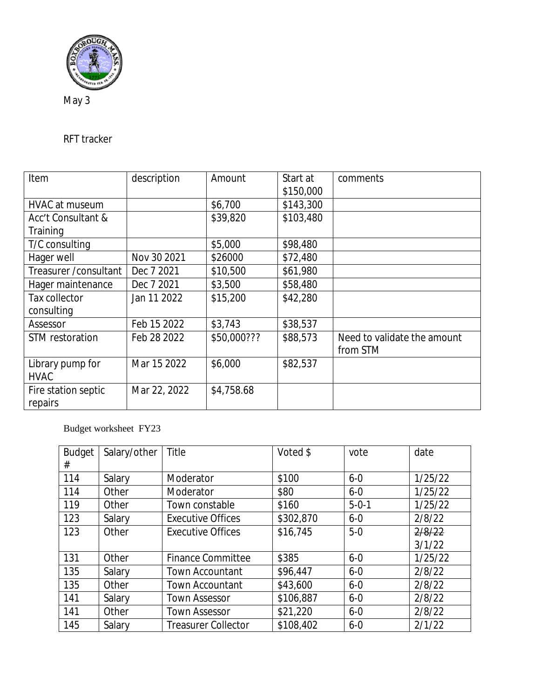

May 3

## RFT tracker

| Item                   | description  | Amount      | Start at  | comments                    |
|------------------------|--------------|-------------|-----------|-----------------------------|
|                        |              |             | \$150,000 |                             |
| <b>HVAC at museum</b>  |              | \$6,700     | \$143,300 |                             |
| Acc't Consultant &     |              | \$39,820    | \$103,480 |                             |
| Training               |              |             |           |                             |
| T/C consulting         |              | \$5,000     | \$98,480  |                             |
| Hager well             | Nov 30 2021  | \$26000     | \$72,480  |                             |
| Treasurer / consultant | Dec 7 2021   | \$10,500    | \$61,980  |                             |
| Hager maintenance      | Dec 7 2021   | \$3,500     | \$58,480  |                             |
| Tax collector          | Jan 11 2022  | \$15,200    | \$42,280  |                             |
| consulting             |              |             |           |                             |
| Assessor               | Feb 15 2022  | \$3,743     | \$38,537  |                             |
| STM restoration        | Feb 28 2022  | \$50,000??? | \$88,573  | Need to validate the amount |
|                        |              |             |           | from STM                    |
| Library pump for       | Mar 15 2022  | \$6,000     | \$82,537  |                             |
| <b>HVAC</b>            |              |             |           |                             |
| Fire station septic    | Mar 22, 2022 | \$4,758.68  |           |                             |
| repairs                |              |             |           |                             |

## Budget worksheet FY23

| <b>Budget</b> | Salary/other | Title                      | Voted \$  | vote        | date    |
|---------------|--------------|----------------------------|-----------|-------------|---------|
| #             |              |                            |           |             |         |
| 114           | Salary       | Moderator                  | \$100     | $6 - 0$     | 1/25/22 |
| 114           | Other        | Moderator                  | \$80      | $6 - 0$     | 1/25/22 |
| 119           | Other        | Town constable             | \$160     | $5 - 0 - 1$ | 1/25/22 |
| 123           | Salary       | <b>Executive Offices</b>   | \$302,870 | $6 - 0$     | 2/8/22  |
| 123           | Other        | <b>Executive Offices</b>   | \$16,745  | $5-0$       | 2/8/22  |
|               |              |                            |           |             | 3/1/22  |
| 131           | Other        | <b>Finance Committee</b>   | \$385     | $6 - 0$     | 1/25/22 |
| 135           | Salary       | <b>Town Accountant</b>     | \$96,447  | $6 - 0$     | 2/8/22  |
| 135           | Other        | <b>Town Accountant</b>     | \$43,600  | $6 - 0$     | 2/8/22  |
| 141           | Salary       | <b>Town Assessor</b>       | \$106,887 | $6 - 0$     | 2/8/22  |
| 141           | Other        | <b>Town Assessor</b>       | \$21,220  | $6 - 0$     | 2/8/22  |
| 145           | Salary       | <b>Treasurer Collector</b> | \$108,402 | $6 - 0$     | 2/1/22  |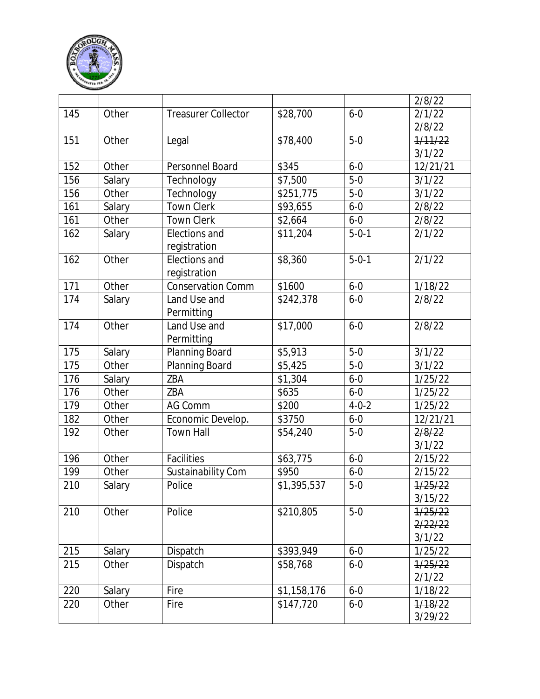

|     |        |                               |             |             | 2/8/22           |
|-----|--------|-------------------------------|-------------|-------------|------------------|
| 145 | Other  | <b>Treasurer Collector</b>    | \$28,700    | $6 - 0$     | 2/1/22           |
|     |        |                               |             |             | 2/8/22           |
| 151 | Other  | Legal                         | \$78,400    | $5-0$       | 1/11/22          |
|     |        |                               |             |             | 3/1/22           |
| 152 | Other  | Personnel Board               | \$345       | $6 - 0$     | 12/21/21         |
| 156 | Salary | Technology                    | \$7,500     | $5 - 0$     | 3/1/22           |
| 156 | Other  | Technology                    | \$251,775   | $5-0$       | 3/1/22           |
| 161 | Salary | <b>Town Clerk</b>             | \$93,655    | $6 - 0$     | 2/8/22           |
| 161 | Other  | <b>Town Clerk</b>             | \$2,664     | $6 - 0$     | 2/8/22           |
| 162 | Salary | Elections and<br>registration | \$11,204    | $5 - 0 - 1$ | 2/1/22           |
| 162 | Other  | Elections and<br>registration | \$8,360     | $5 - 0 - 1$ | 2/1/22           |
| 171 | Other  | <b>Conservation Comm</b>      | \$1600      | $6 - 0$     | 1/18/22          |
| 174 | Salary | Land Use and<br>Permitting    | \$242,378   | $6 - 0$     | 2/8/22           |
| 174 | Other  | Land Use and<br>Permitting    | \$17,000    | $6 - 0$     | 2/8/22           |
| 175 | Salary | Planning Board                | \$5,913     | $5-0$       | 3/1/22           |
| 175 | Other  | Planning Board                | \$5,425     | $5-0$       | 3/1/22           |
| 176 | Salary | ZBA                           | \$1,304     | $6 - 0$     | 1/25/22          |
| 176 | Other  | ZBA                           | \$635       | $6 - 0$     | 1/25/22          |
| 179 | Other  | <b>AG Comm</b>                | \$200       | $4 - 0 - 2$ | 1/25/22          |
| 182 | Other  | Economic Develop.             | \$3750      | $6 - 0$     | 12/21/21         |
| 192 | Other  | <b>Town Hall</b>              | \$54,240    | $5-0$       | 2/8/22<br>3/1/22 |
| 196 | Other  | Facilities                    | \$63,775    | $6 - 0$     | 2/15/22          |
| 199 | Other  | Sustainability Com            | \$950       | $6 - 0$     | 2/15/22          |
| 210 | Salary | Police                        | \$1,395,537 | $5 - 0$     | 1/25/22          |
|     |        |                               |             |             | 3/15/22          |
| 210 | Other  | Police                        | \$210,805   | $5-0$       | 1/25/22          |
|     |        |                               |             |             | 2/22/22          |
|     |        |                               |             |             | 3/1/22           |
| 215 | Salary | Dispatch                      | \$393,949   | $6 - 0$     | 1/25/22          |
| 215 | Other  | Dispatch                      | \$58,768    | $6 - 0$     | 1/25/22          |
|     |        |                               |             |             | 2/1/22           |
| 220 | Salary | Fire                          | \$1,158,176 | $6 - 0$     | 1/18/22          |
| 220 | Other  | Fire                          | \$147,720   | $6 - 0$     | 1/18/22          |
|     |        |                               |             |             | 3/29/22          |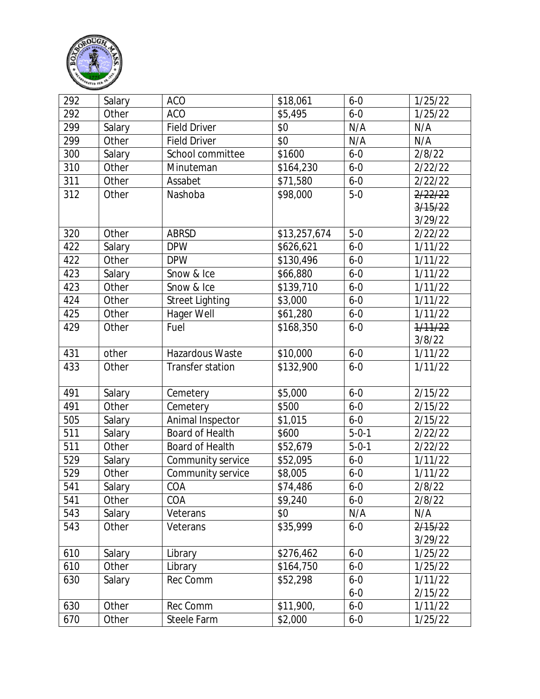

| 292 | Salary | <b>ACO</b>             | \$18,061     | $6 - 0$     | 1/25/22 |
|-----|--------|------------------------|--------------|-------------|---------|
| 292 | Other  | <b>ACO</b>             | \$5,495      | $6 - 0$     | 1/25/22 |
| 299 | Salary | <b>Field Driver</b>    | \$0          | N/A         | N/A     |
| 299 | Other  | <b>Field Driver</b>    | \$0          | N/A         | N/A     |
| 300 | Salary | School committee       | \$1600       | $6 - 0$     | 2/8/22  |
| 310 | Other  | Minuteman              | \$164,230    | $6 - 0$     | 2/22/22 |
| 311 | Other  | Assabet                | \$71,580     | $6 - 0$     | 2/22/22 |
| 312 | Other  | Nashoba                | \$98,000     | $5-0$       | 2/22/22 |
|     |        |                        |              |             | 3/15/22 |
|     |        |                        |              |             | 3/29/22 |
| 320 | Other  | <b>ABRSD</b>           | \$13,257,674 | $5-0$       | 2/22/22 |
| 422 | Salary | <b>DPW</b>             | \$626,621    | $6 - 0$     | 1/11/22 |
| 422 | Other  | <b>DPW</b>             | \$130,496    | $6 - 0$     | 1/11/22 |
| 423 | Salary | Snow & Ice             | \$66,880     | $6 - 0$     | 1/11/22 |
| 423 | Other  | Snow & Ice             | \$139,710    | $6 - 0$     | 1/11/22 |
| 424 | Other  | <b>Street Lighting</b> | \$3,000      | $6 - 0$     | 1/11/22 |
| 425 | Other  | Hager Well             | \$61,280     | $6 - 0$     | 1/11/22 |
| 429 | Other  | Fuel                   | \$168,350    | $6 - 0$     | 1/11/22 |
|     |        |                        |              |             | 3/8/22  |
| 431 | other  | Hazardous Waste        | \$10,000     | $6 - 0$     | 1/11/22 |
| 433 | Other  | Transfer station       | \$132,900    | $6 - 0$     | 1/11/22 |
| 491 | Salary | Cemetery               | \$5,000      | $6 - 0$     | 2/15/22 |
| 491 | Other  | Cemetery               | \$500        | $6 - 0$     | 2/15/22 |
| 505 | Salary | Animal Inspector       | \$1,015      | $6 - 0$     | 2/15/22 |
| 511 | Salary | Board of Health        | \$600        | $5 - 0 - 1$ | 2/22/22 |
| 511 | Other  | <b>Board of Health</b> | \$52,679     | $5 - 0 - 1$ | 2/22/22 |
| 529 | Salary | Community service      | \$52,095     | $6 - 0$     | 1/11/22 |
| 529 | Other  | Community service      | \$8,005      | $6 - 0$     | 1/11/22 |
| 541 | Salary | COA                    | \$74,486     | $6 - 0$     | 2/8/22  |
| 541 | Other  | COA                    | \$9,240      | $6 - 0$     | 2/8/22  |
| 543 | Salary | Veterans               | \$0          | N/A         | N/A     |
| 543 | Other  | Veterans               | \$35,999     | $6 - 0$     | 2/15/22 |
|     |        |                        |              |             | 3/29/22 |
| 610 | Salary | Library                | \$276,462    | $6 - 0$     | 1/25/22 |
| 610 | Other  | Library                | \$164,750    | $6 - 0$     | 1/25/22 |
| 630 | Salary | Rec Comm               | \$52,298     | $6 - 0$     | 1/11/22 |
|     |        |                        |              | $6 - 0$     | 2/15/22 |
| 630 | Other  | Rec Comm               | \$11,900,    | $6 - 0$     | 1/11/22 |
| 670 | Other  | Steele Farm            | \$2,000      | $6 - 0$     | 1/25/22 |